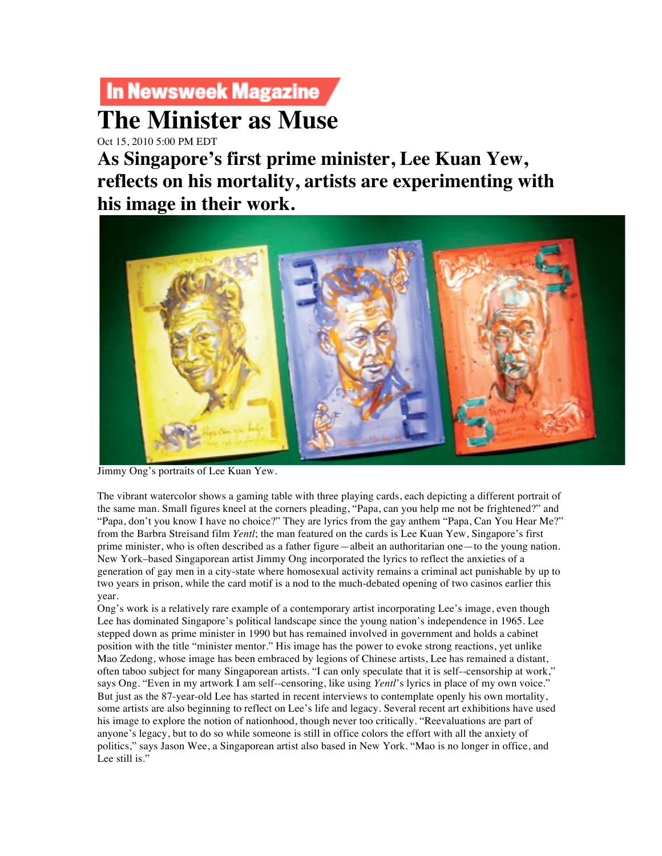## In Newsweek Magazine

## **The Minister as Muse**

Oct 15, 2010 5:00 PM EDT

**As Singapore's first prime minister, Lee Kuan Yew, reflects on his mortality, artists are experimenting with his image in their work.** 



Jimmy Ong's portraits of Lee Kuan Yew.

The vibrant watercolor shows a gaming table with three playing cards, each depicting a different portrait of the same man. Small figures kneel at the corners pleading, "Papa, can you help me not be frightened?" and "Papa, don't you know I have no choice?" They are lyrics from the gay anthem "Papa, Can You Hear Me?" from the Barbra Streisand film *Yentl*; the man featured on the cards is Lee Kuan Yew, Singapore's first prime minister, who is often described as a father figure—albeit an authoritarian one—to the young nation. New York–based Singaporean artist Jimmy Ong incorporated the lyrics to reflect the anxieties of a generation of gay men in a city-state where homosexual activity remains a criminal act punishable by up to two years in prison, while the card motif is a nod to the much-debated opening of two casinos earlier this year.

Ong's work is a relatively rare example of a contemporary artist incorporating Lee's image, even though Lee has dominated Singapore's political landscape since the young nation's independence in 1965. Lee stepped down as prime minister in 1990 but has remained involved in government and holds a cabinet position with the title "minister mentor." His image has the power to evoke strong reactions, yet unlike Mao Zedong, whose image has been embraced by legions of Chinese artists, Lee has remained a distant, often taboo subject for many Singaporean artists. "I can only speculate that it is self--censorship at work," says Ong. "Even in my artwork I am self--censoring, like using *Yentl*'s lyrics in place of my own voice." But just as the 87-year-old Lee has started in recent interviews to contemplate openly his own mortality, some artists are also beginning to reflect on Lee's life and legacy. Several recent art exhibitions have used his image to explore the notion of nationhood, though never too critically. "Reevaluations are part of anyone's legacy, but to do so while someone is still in office colors the effort with all the anxiety of politics," says Jason Wee, a Singaporean artist also based in New York. "Mao is no longer in office, and Lee still is."